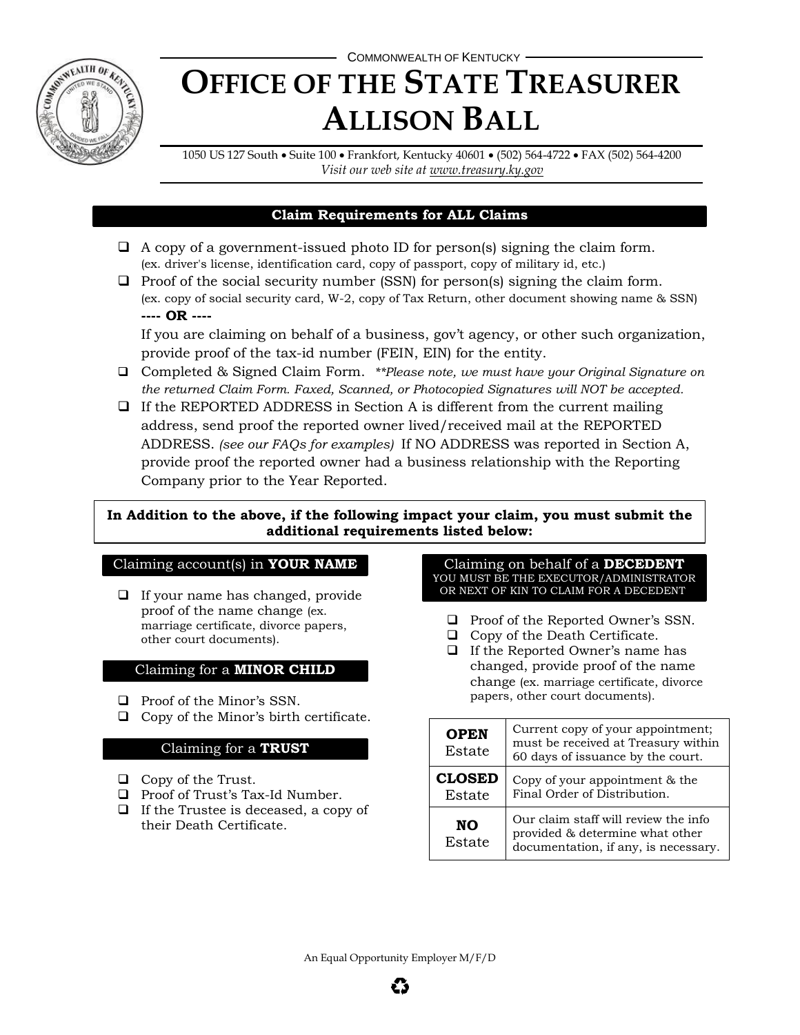

# COMMONWEALTH OF KENTUCKY **OFFICE OF THE STATE TREASURER ALLISON BALL**

1050 US 127 South Suite 100 Frankfort, Kentucky 40601 (502) 564-4722 FAX (502) 564-4200 *Visit our web site at [www.treasury.ky.gov](http://www.treasury.ky.gov/)*

## **Claim Requirements for ALL Claims**

- $\Box$  A copy of a government-issued photo ID for person(s) signing the claim form. (ex. driver's license, identification card, copy of passport, copy of military id, etc.)
- $\Box$  Proof of the social security number (SSN) for person(s) signing the claim form. (ex. copy of social security card, W-2, copy of Tax Return, other document showing name & SSN) **---- OR ----**

If you are claiming on behalf of a business, gov't agency, or other such organization, provide proof of the tax-id number (FEIN, EIN) for the entity.

- Completed & Signed Claim Form. *\*\*Please note, we must have your Original Signature on the returned Claim Form. Faxed, Scanned, or Photocopied Signatures will NOT be accepted.*
- $\Box$  If the REPORTED ADDRESS in Section A is different from the current mailing address, send proof the reported owner lived/received mail at the REPORTED ADDRESS. *(see our FAQs for examples)* If NO ADDRESS was reported in Section A, provide proof the reported owner had a business relationship with the Reporting Company prior to the Year Reported.

## **In Addition to the above, if the following impact your claim, you must submit the additional requirements listed below:**

## Claiming account(s) in **YOUR NAME**

 $\Box$  If your name has changed, provide proof of the name change (ex. marriage certificate, divorce papers, other court documents).

## Claiming for a **MINOR CHILD**

- $\Box$  Proof of the Minor's SSN.
- $\Box$  Copy of the Minor's birth certificate.

# Claiming for a **TRUST**

- $\Box$  Copy of the Trust.
- **Q** Proof of Trust's Tax-Id Number.
- $\Box$  If the Trustee is deceased, a copy of their Death Certificate.

Claiming on behalf of a **DECEDENT** YOU MUST BE THE EXECUTOR/ADMINISTRATOR OR NEXT OF KIN TO CLAIM FOR A DECEDENT.

- $\Box$  Proof of the Reported Owner's SSN.
- $\Box$  Copy of the Death Certificate.
- $\Box$  If the Reported Owner's name has changed, provide proof of the name change (ex. marriage certificate, divorce papers, other court documents).

| <b>OPEN</b><br>Estate   | Current copy of your appointment;<br>must be received at Treasury within<br>60 days of issuance by the court.   |
|-------------------------|-----------------------------------------------------------------------------------------------------------------|
| <b>CLOSED</b><br>Estate | Copy of your appointment & the<br>Final Order of Distribution.                                                  |
| NO.<br>Estate           | Our claim staff will review the info<br>provided & determine what other<br>documentation, if any, is necessary. |

An Equal Opportunity Employer M/F/D